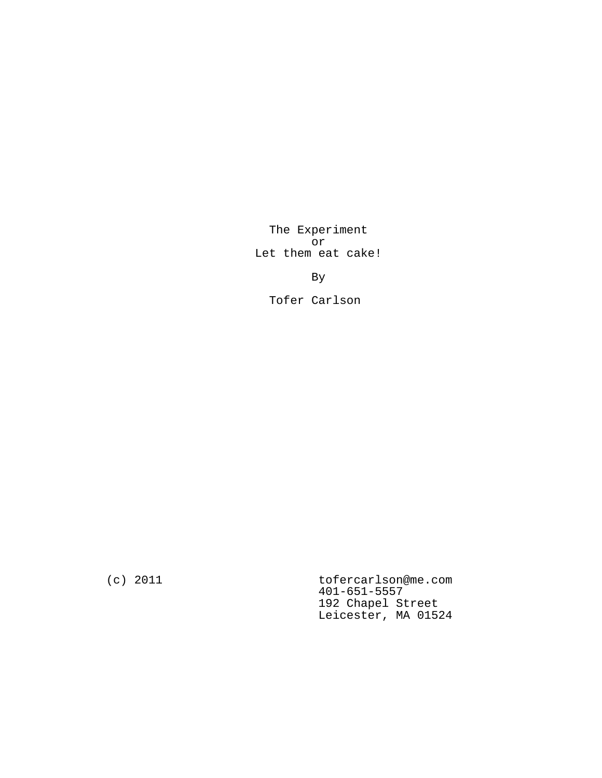The Experiment or Let them eat cake!

By

Tofer Carlson

(c) 2011 tofercarlson@me.com 401-651-5557 192 Chapel Street Leicester, MA 01524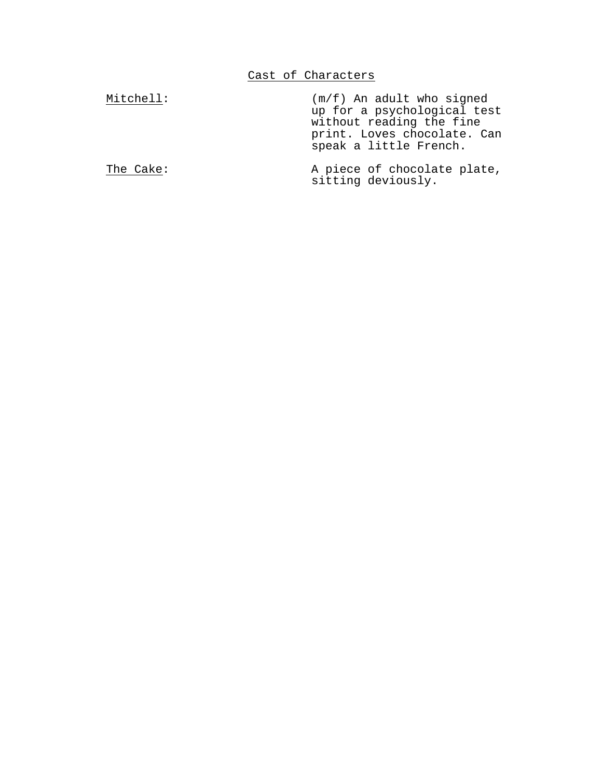| Mitchell: | $(m/f)$ An adult who signed<br>up for a psychological test<br>without reading the fine<br>print. Loves chocolate. Can<br>speak a little French. |
|-----------|-------------------------------------------------------------------------------------------------------------------------------------------------|
| The Cake: | A piece of chocolate plate,<br>sitting deviously.                                                                                               |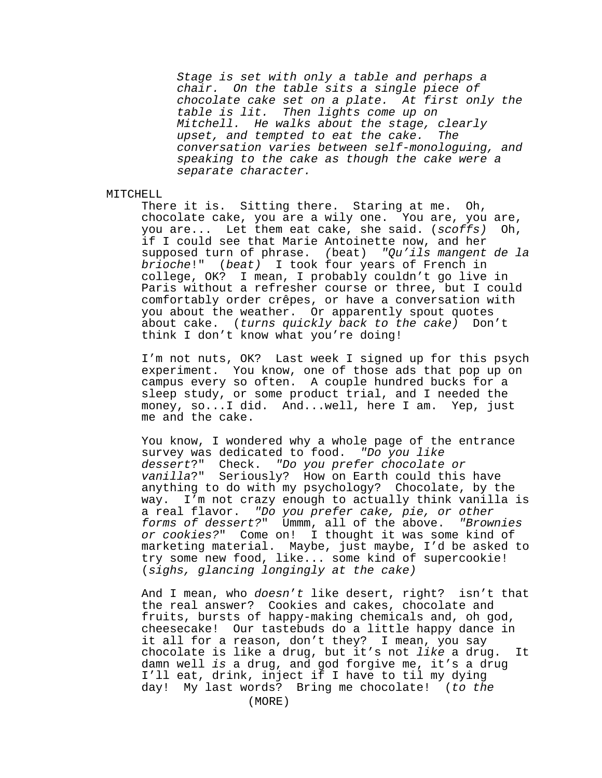Stage is set with only a table and perhaps a chair. On the table sits a single piece of chocolate cake set on a plate. At first only the table is lit. Then lights come up on Mitchell. He walks about the stage, clearly upset, and tempted to eat the cake. The conversation varies between self-monologuing, and speaking to the cake as though the cake were a separate character.

## MITCHELL

There it is. Sitting there. Staring at me. Oh, chocolate cake, you are a wily one. You are, you are, you are... Let them eat cake, she said. (scoffs) Oh, if I could see that Marie Antoinette now, and her supposed turn of phrase. (beat) "Qu'ils mangent de la brioche!" (beat) I took four years of French in college, OK? I mean, I probably couldn't go live in Paris without a refresher course or three, but I could comfortably order crêpes, or have a conversation with you about the weather. Or apparently spout quotes about cake. (turns quickly back to the cake) Don't think I don't know what you're doing!

I'm not nuts, OK? Last week I signed up for this psych experiment. You know, one of those ads that pop up on campus every so often. A couple hundred bucks for a sleep study, or some product trial, and I needed the money, so...I did. And...well, here I am. Yep, just me and the cake.

You know, I wondered why a whole page of the entrance survey was dedicated to food. "Do you like dessert?" Check. "Do you prefer chocolate or vanilla?" Seriously? How on Earth could this have anything to do with my psychology? Chocolate, by the way. I'm not crazy enough to actually think vanilla is a real flavor. "Do you prefer cake, pie, or other forms of dessert?" Ummm, all of the above. "Brownies or cookies?" Come on! I thought it was some kind of marketing material. Maybe, just maybe, I'd be asked to try some new food, like... some kind of supercookie! (sighs, glancing longingly at the cake)

And I mean, who doesn't like desert, right? isn't that the real answer? Cookies and cakes, chocolate and fruits, bursts of happy-making chemicals and, oh god, cheesecake! Our tastebuds do a little happy dance in it all for a reason, don't they? I mean, you say chocolate is like a drug, but it's not like a drug. It damn well is a drug, and god forgive me, it's a drug I'll eat, drink, inject if I have to til my dying day! My last words? Bring me chocolate! (to the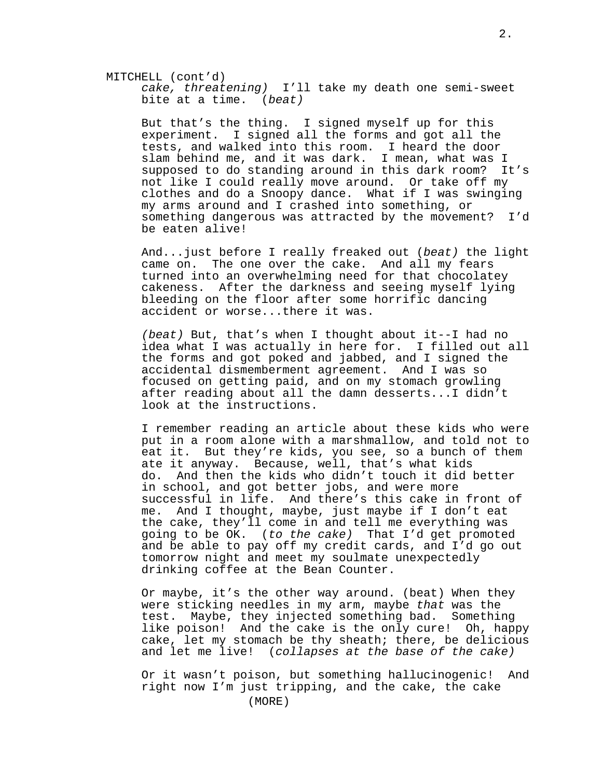cake, threatening) I'll take my death one semi-sweet bite at a time. (beat)

But that's the thing. I signed myself up for this experiment. I signed all the forms and got all the tests, and walked into this room. I heard the door slam behind me, and it was dark. I mean, what was I supposed to do standing around in this dark room? It's not like I could really move around. Or take off my clothes and do a Snoopy dance. What if I was swinging my arms around and I crashed into something, or something dangerous was attracted by the movement? I'd be eaten alive!

And...just before I really freaked out (beat) the light came on. The one over the cake. And all my fears turned into an overwhelming need for that chocolatey cakeness. After the darkness and seeing myself lying bleeding on the floor after some horrific dancing accident or worse...there it was.

(beat) But, that's when I thought about it--I had no idea what I was actually in here for. I filled out all the forms and got poked and jabbed, and I signed the accidental dismemberment agreement. And I was so focused on getting paid, and on my stomach growling after reading about all the damn desserts...I didn't look at the instructions.

I remember reading an article about these kids who were put in a room alone with a marshmallow, and told not to eat it. But they're kids, you see, so a bunch of them ate it anyway. Because, well, that's what kids do. And then the kids who didn't touch it did better in school, and got better jobs, and were more successful in life. And there's this cake in front of me. And I thought, maybe, just maybe if I don't eat the cake, they'll come in and tell me everything was going to be OK. (to the cake) That I'd get promoted and be able to pay off my credit cards, and I'd go out tomorrow night and meet my soulmate unexpectedly drinking coffee at the Bean Counter.

Or maybe, it's the other way around. (beat) When they were sticking needles in my arm, maybe that was the test. Maybe, they injected something bad. Something like poison! And the cake is the only cure! Oh, happy cake, let my stomach be thy sheath; there, be delicious and let me live! (collapses at the base of the cake)

Or it wasn't poison, but something hallucinogenic! And right now I'm just tripping, and the cake, the cake